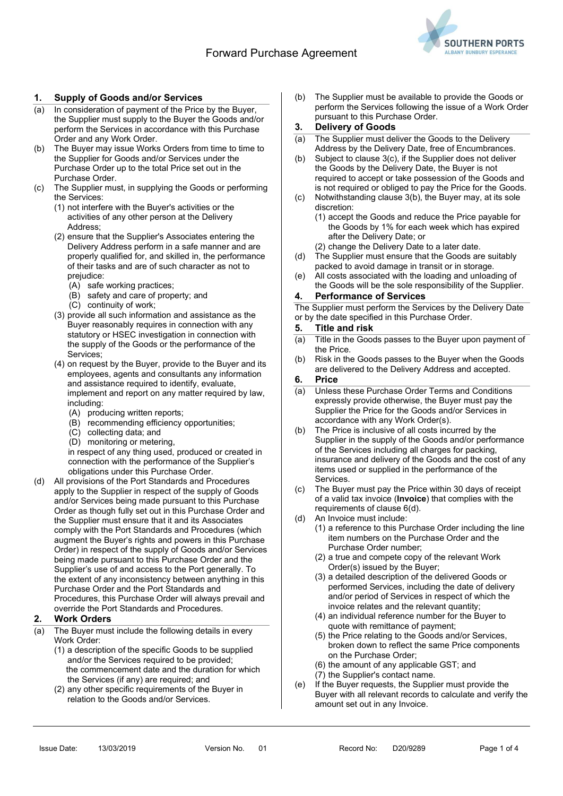

# 1. Supply of Goods and/or Services

- (a) In consideration of payment of the Price by the Buyer, the Supplier must supply to the Buyer the Goods and/or perform the Services in accordance with this Purchase Order and any Work Order.
- (b) The Buyer may issue Works Orders from time to time to the Supplier for Goods and/or Services under the Purchase Order up to the total Price set out in the Purchase Order.
- The Supplier must, in supplying the Goods or performing the Services:
	- (1) not interfere with the Buyer's activities or the activities of any other person at the Delivery Address;
	- (2) ensure that the Supplier's Associates entering the Delivery Address perform in a safe manner and are properly qualified for, and skilled in, the performance of their tasks and are of such character as not to prejudice:
		- (A) safe working practices;
		- (B) safety and care of property; and
		- (C) continuity of work;
	- (3) provide all such information and assistance as the Buyer reasonably requires in connection with any statutory or HSEC investigation in connection with the supply of the Goods or the performance of the Services;
	- (4) on request by the Buyer, provide to the Buyer and its employees, agents and consultants any information and assistance required to identify, evaluate, implement and report on any matter required by law, including:
		- (A) producing written reports;
		- (B) recommending efficiency opportunities;
		- (C) collecting data; and
		- (D) monitoring or metering,

in respect of any thing used, produced or created in connection with the performance of the Supplier's obligations under this Purchase Order.

(d) All provisions of the Port Standards and Procedures apply to the Supplier in respect of the supply of Goods and/or Services being made pursuant to this Purchase Order as though fully set out in this Purchase Order and the Supplier must ensure that it and its Associates comply with the Port Standards and Procedures (which augment the Buyer's rights and powers in this Purchase Order) in respect of the supply of Goods and/or Services being made pursuant to this Purchase Order and the Supplier's use of and access to the Port generally. To the extent of any inconsistency between anything in this Purchase Order and the Port Standards and Procedures, this Purchase Order will always prevail and override the Port Standards and Procedures.

## 2. Work Orders

- (a) The Buyer must include the following details in every Work Order:
	- (1) a description of the specific Goods to be supplied and/or the Services required to be provided; the commencement date and the duration for which the Services (if any) are required; and
	- (2) any other specific requirements of the Buyer in relation to the Goods and/or Services.

(b) The Supplier must be available to provide the Goods or perform the Services following the issue of a Work Order pursuant to this Purchase Order.

# 3. Delivery of Goods

- (a) The Supplier must deliver the Goods to the Delivery Address by the Delivery Date, free of Encumbrances.
- (b) Subject to clause 3(c), if the Supplier does not deliver the Goods by the Delivery Date, the Buyer is not required to accept or take possession of the Goods and is not required or obliged to pay the Price for the Goods.
- (c) Notwithstanding clause 3(b), the Buyer may, at its sole discretion:
	- (1) accept the Goods and reduce the Price payable for the Goods by 1% for each week which has expired after the Delivery Date; or
	- (2) change the Delivery Date to a later date.
- (d) The Supplier must ensure that the Goods are suitably packed to avoid damage in transit or in storage.
- (e) All costs associated with the loading and unloading of the Goods will be the sole responsibility of the Supplier.
- 4. Performance of Services

The Supplier must perform the Services by the Delivery Date or by the date specified in this Purchase Order.

### 5. Title and risk

- (a) Title in the Goods passes to the Buyer upon payment of the Price.
- (b) Risk in the Goods passes to the Buyer when the Goods are delivered to the Delivery Address and accepted.

#### 6. Price

- (a) Unless these Purchase Order Terms and Conditions expressly provide otherwise, the Buyer must pay the Supplier the Price for the Goods and/or Services in accordance with any Work Order(s).
- (b) The Price is inclusive of all costs incurred by the Supplier in the supply of the Goods and/or performance of the Services including all charges for packing, insurance and delivery of the Goods and the cost of any items used or supplied in the performance of the Services.
- (c) The Buyer must pay the Price within 30 days of receipt of a valid tax invoice (Invoice) that complies with the requirements of clause 6(d).
- (d) An Invoice must include:
	- (1) a reference to this Purchase Order including the line item numbers on the Purchase Order and the Purchase Order number;
	- (2) a true and compete copy of the relevant Work Order(s) issued by the Buyer;
	- (3) a detailed description of the delivered Goods or performed Services, including the date of delivery and/or period of Services in respect of which the invoice relates and the relevant quantity;
	- (4) an individual reference number for the Buyer to quote with remittance of payment;
	- (5) the Price relating to the Goods and/or Services, broken down to reflect the same Price components on the Purchase Order;
	- (6) the amount of any applicable GST; and
	- (7) the Supplier's contact name.
- (e) If the Buyer requests, the Supplier must provide the Buyer with all relevant records to calculate and verify the amount set out in any Invoice.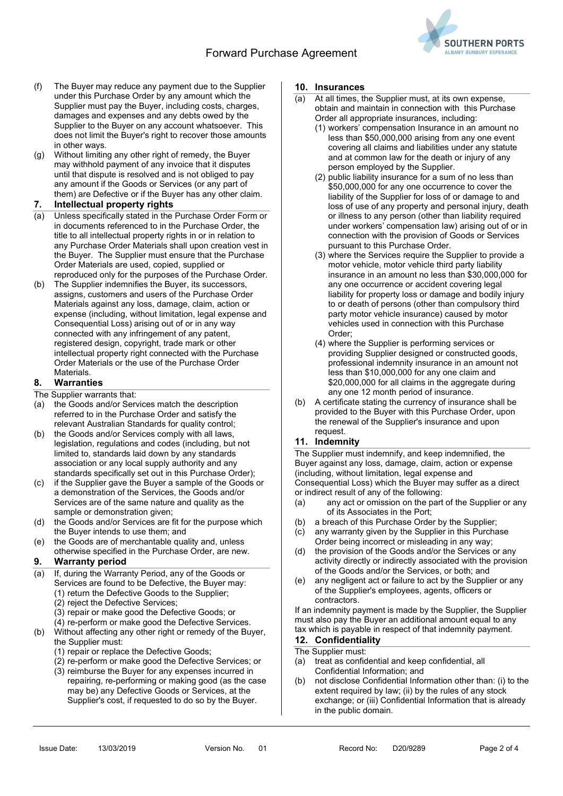# Forward Purchase Agreement



- (f) The Buyer may reduce any payment due to the Supplier under this Purchase Order by any amount which the Supplier must pay the Buyer, including costs, charges, damages and expenses and any debts owed by the Supplier to the Buyer on any account whatsoever. This does not limit the Buyer's right to recover those amounts in other ways.
- (g) Without limiting any other right of remedy, the Buyer may withhold payment of any invoice that it disputes until that dispute is resolved and is not obliged to pay any amount if the Goods or Services (or any part of them) are Defective or if the Buyer has any other claim.

## 7. Intellectual property rights

- (a) Unless specifically stated in the Purchase Order Form or in documents referenced to in the Purchase Order, the title to all intellectual property rights in or in relation to any Purchase Order Materials shall upon creation vest in the Buyer. The Supplier must ensure that the Purchase Order Materials are used, copied, supplied or reproduced only for the purposes of the Purchase Order.
- (b) The Supplier indemnifies the Buyer, its successors, assigns, customers and users of the Purchase Order Materials against any loss, damage, claim, action or expense (including, without limitation, legal expense and Consequential Loss) arising out of or in any way connected with any infringement of any patent, registered design, copyright, trade mark or other intellectual property right connected with the Purchase Order Materials or the use of the Purchase Order Materials.

### 8. Warranties

- The Supplier warrants that:
- (a) the Goods and/or Services match the description referred to in the Purchase Order and satisfy the relevant Australian Standards for quality control;
- (b) the Goods and/or Services comply with all laws, legislation, regulations and codes (including, but not limited to, standards laid down by any standards association or any local supply authority and any standards specifically set out in this Purchase Order);
- (c) if the Supplier gave the Buyer a sample of the Goods or a demonstration of the Services, the Goods and/or Services are of the same nature and quality as the sample or demonstration given;
- (d) the Goods and/or Services are fit for the purpose which the Buyer intends to use them; and
- (e) the Goods are of merchantable quality and, unless otherwise specified in the Purchase Order, are new.

### 9. Warranty period

- (a) If, during the Warranty Period, any of the Goods or Services are found to be Defective, the Buyer may: (1) return the Defective Goods to the Supplier;
	- (2) reject the Defective Services;
	- (3) repair or make good the Defective Goods; or
	- (4) re-perform or make good the Defective Services.
- (b) Without affecting any other right or remedy of the Buyer, the Supplier must:
	- (1) repair or replace the Defective Goods;
	- (2) re-perform or make good the Defective Services; or
	- (3) reimburse the Buyer for any expenses incurred in repairing, re-performing or making good (as the case may be) any Defective Goods or Services, at the Supplier's cost, if requested to do so by the Buyer.

#### 10. Insurances

- (a) At all times, the Supplier must, at its own expense, obtain and maintain in connection with this Purchase Order all appropriate insurances, including:
	- (1) workers' compensation Insurance in an amount no less than \$50,000,000 arising from any one event covering all claims and liabilities under any statute and at common law for the death or injury of any person employed by the Supplier.
	- (2) public liability insurance for a sum of no less than \$50,000,000 for any one occurrence to cover the liability of the Supplier for loss of or damage to and loss of use of any property and personal injury, death or illness to any person (other than liability required under workers' compensation law) arising out of or in connection with the provision of Goods or Services pursuant to this Purchase Order.
	- (3) where the Services require the Supplier to provide a motor vehicle, motor vehicle third party liability insurance in an amount no less than \$30,000,000 for any one occurrence or accident covering legal liability for property loss or damage and bodily injury to or death of persons (other than compulsory third party motor vehicle insurance) caused by motor vehicles used in connection with this Purchase Order;
	- (4) where the Supplier is performing services or providing Supplier designed or constructed goods, professional indemnity insurance in an amount not less than \$10,000,000 for any one claim and \$20,000,000 for all claims in the aggregate during any one 12 month period of insurance.
- (b) A certificate stating the currency of insurance shall be provided to the Buyer with this Purchase Order, upon the renewal of the Supplier's insurance and upon request.

### 11. Indemnity

The Supplier must indemnify, and keep indemnified, the Buyer against any loss, damage, claim, action or expense (including, without limitation, legal expense and Consequential Loss) which the Buyer may suffer as a direct or indirect result of any of the following:

- (a) any act or omission on the part of the Supplier or any of its Associates in the Port;
- (b) a breach of this Purchase Order by the Supplier;
- (c) any warranty given by the Supplier in this Purchase Order being incorrect or misleading in any way;
- (d) the provision of the Goods and/or the Services or any activity directly or indirectly associated with the provision of the Goods and/or the Services, or both; and
- (e) any negligent act or failure to act by the Supplier or any of the Supplier's employees, agents, officers or contractors.

If an indemnity payment is made by the Supplier, the Supplier must also pay the Buyer an additional amount equal to any tax which is payable in respect of that indemnity payment.

# 12. Confidentiality

## The Supplier must:

- (a) treat as confidential and keep confidential, all Confidential Information; and
- (b) not disclose Confidential Information other than: (i) to the extent required by law; (ii) by the rules of any stock exchange; or (iii) Confidential Information that is already in the public domain.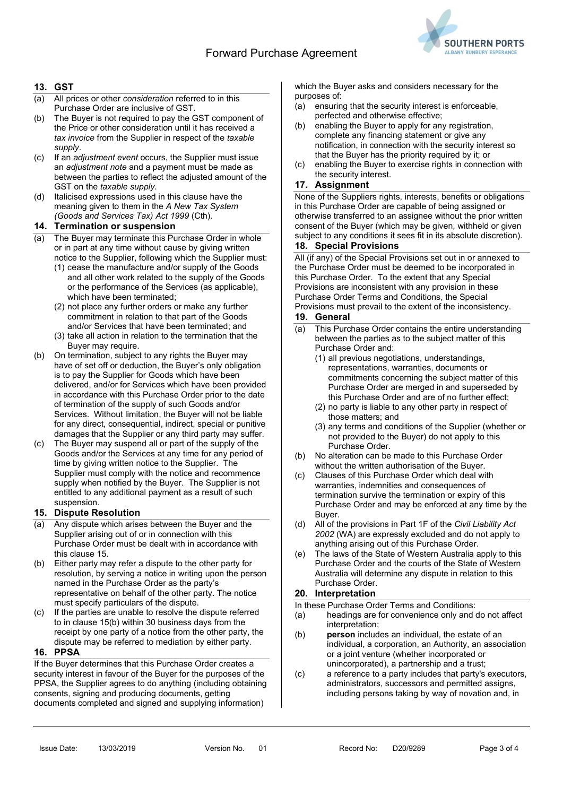

# 13. GST

- (a) All prices or other consideration referred to in this Purchase Order are inclusive of GST.
- (b) The Buyer is not required to pay the GST component of the Price or other consideration until it has received a tax invoice from the Supplier in respect of the taxable supply.
- (c) If an adjustment event occurs, the Supplier must issue an adjustment note and a payment must be made as between the parties to reflect the adjusted amount of the GST on the taxable supply.
- (d) Italicised expressions used in this clause have the meaning given to them in the A New Tax System (Goods and Services Tax) Act 1999 (Cth).

### 14. Termination or suspension

- (a) The Buyer may terminate this Purchase Order in whole or in part at any time without cause by giving written notice to the Supplier, following which the Supplier must:
	- (1) cease the manufacture and/or supply of the Goods and all other work related to the supply of the Goods or the performance of the Services (as applicable), which have been terminated;
	- (2) not place any further orders or make any further commitment in relation to that part of the Goods and/or Services that have been terminated; and
	- (3) take all action in relation to the termination that the Buyer may require.
- (b) On termination, subject to any rights the Buyer may have of set off or deduction, the Buyer's only obligation is to pay the Supplier for Goods which have been delivered, and/or for Services which have been provided in accordance with this Purchase Order prior to the date of termination of the supply of such Goods and/or Services. Without limitation, the Buyer will not be liable for any direct, consequential, indirect, special or punitive damages that the Supplier or any third party may suffer.
- (c) The Buyer may suspend all or part of the supply of the Goods and/or the Services at any time for any period of time by giving written notice to the Supplier. The Supplier must comply with the notice and recommence supply when notified by the Buyer. The Supplier is not entitled to any additional payment as a result of such suspension.

# 15. Dispute Resolution

- (a) Any dispute which arises between the Buyer and the Supplier arising out of or in connection with this Purchase Order must be dealt with in accordance with this clause 15.
- (b) Either party may refer a dispute to the other party for resolution, by serving a notice in writing upon the person named in the Purchase Order as the party's representative on behalf of the other party. The notice must specify particulars of the dispute.
- (c) If the parties are unable to resolve the dispute referred to in clause 15(b) within 30 business days from the receipt by one party of a notice from the other party, the dispute may be referred to mediation by either party.

### 16. PPSA

If the Buyer determines that this Purchase Order creates a security interest in favour of the Buyer for the purposes of the PPSA, the Supplier agrees to do anything (including obtaining consents, signing and producing documents, getting documents completed and signed and supplying information)

which the Buyer asks and considers necessary for the purposes of:

- (a) ensuring that the security interest is enforceable, perfected and otherwise effective;
- (b) enabling the Buyer to apply for any registration, complete any financing statement or give any notification, in connection with the security interest so that the Buyer has the priority required by it; or
- (c) enabling the Buyer to exercise rights in connection with the security interest.

# 17. Assignment

None of the Suppliers rights, interests, benefits or obligations in this Purchase Order are capable of being assigned or otherwise transferred to an assignee without the prior written consent of the Buyer (which may be given, withheld or given subject to any conditions it sees fit in its absolute discretion).

### 18. Special Provisions

All (if any) of the Special Provisions set out in or annexed to the Purchase Order must be deemed to be incorporated in this Purchase Order. To the extent that any Special Provisions are inconsistent with any provision in these Purchase Order Terms and Conditions, the Special Provisions must prevail to the extent of the inconsistency.

#### 19. General

- (a) This Purchase Order contains the entire understanding between the parties as to the subject matter of this Purchase Order and:
	- (1) all previous negotiations, understandings, representations, warranties, documents or commitments concerning the subject matter of this Purchase Order are merged in and superseded by this Purchase Order and are of no further effect;
	- (2) no party is liable to any other party in respect of those matters; and
	- (3) any terms and conditions of the Supplier (whether or not provided to the Buyer) do not apply to this Purchase Order.
- (b) No alteration can be made to this Purchase Order without the written authorisation of the Buyer.
- (c) Clauses of this Purchase Order which deal with warranties, indemnities and consequences of termination survive the termination or expiry of this Purchase Order and may be enforced at any time by the Buyer.
- (d) All of the provisions in Part 1F of the Civil Liability Act 2002 (WA) are expressly excluded and do not apply to anything arising out of this Purchase Order.
- (e) The laws of the State of Western Australia apply to this Purchase Order and the courts of the State of Western Australia will determine any dispute in relation to this Purchase Order.

# 20. Interpretation

In these Purchase Order Terms and Conditions:

- (a) headings are for convenience only and do not affect interpretation;
- (b) person includes an individual, the estate of an individual, a corporation, an Authority, an association or a joint venture (whether incorporated or unincorporated), a partnership and a trust;
- (c) a reference to a party includes that party's executors, administrators, successors and permitted assigns, including persons taking by way of novation and, in